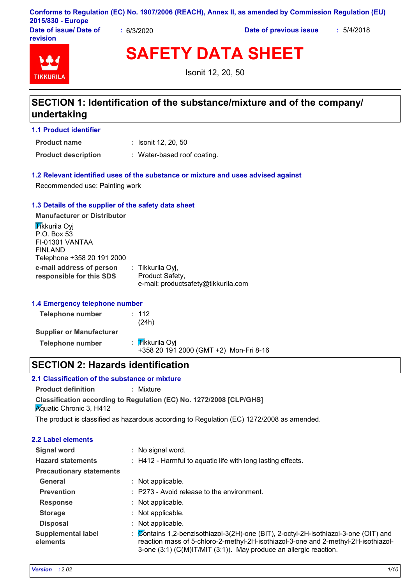|                                    | Conforms to Regulation (EC) No. 1907/2006 (REACH), Annex II, as amended by Commission Regulation (EU) |
|------------------------------------|-------------------------------------------------------------------------------------------------------|
| 2015/830 - Europe                  |                                                                                                       |
| <b>Books of the count Books of</b> | $-1110010$                                                                                            |

**Date of issue/ Date of revision**

**:** 6/3/2020 **Date of previous issue :** 5/4/2018



**SAFETY DATA SHEET**

Isonit 12, 20, 50

# **SECTION 1: Identification of the substance/mixture and of the company/ undertaking**

**1.1 Product identifier**

**Product name**

Isonit 12, 20, 50 **:**

**Product description :** Water-based roof coating.

# **1.2 Relevant identified uses of the substance or mixture and uses advised against**

Recommended use: Painting work

# **1.3 Details of the supplier of the safety data sheet**

**e-mail address of person responsible for this SDS :** Tikkurila Oyj, Product Safety, e-mail: productsafety@tikkurila.com **Manufacturer or Distributor Tikkurila Ovi** P.O. Box 53 FI-01301 VANTAA FINLAND Telephone +358 20 191 2000

# **1.4 Emergency telephone number**

| Telephone number                | : 112<br>(24h)                                            |
|---------------------------------|-----------------------------------------------------------|
| <b>Supplier or Manufacturer</b> |                                                           |
| Telephone number                | : Tikkurila Oyi<br>+358 20 191 2000 (GMT +2) Mon-Fri 8-16 |

# **SECTION 2: Hazards identification**

# **2.1 Classification of the substance or mixture**

**Classification according to Regulation (EC) No. 1272/2008 [CLP/GHS] Product definition :** Mixture **K**quatic Chronic 3, H412

The product is classified as hazardous according to Regulation (EC) 1272/2008 as amended.

| <b>2.2 Label elements</b>             |                                                                                                                                                                                                                                                 |
|---------------------------------------|-------------------------------------------------------------------------------------------------------------------------------------------------------------------------------------------------------------------------------------------------|
| <b>Signal word</b>                    | : No signal word.                                                                                                                                                                                                                               |
| <b>Hazard statements</b>              | : H412 - Harmful to aquatic life with long lasting effects.                                                                                                                                                                                     |
| <b>Precautionary statements</b>       |                                                                                                                                                                                                                                                 |
| General                               | : Not applicable.                                                                                                                                                                                                                               |
| <b>Prevention</b>                     | : P273 - Avoid release to the environment.                                                                                                                                                                                                      |
| <b>Response</b>                       | : Not applicable.                                                                                                                                                                                                                               |
| <b>Storage</b>                        | : Not applicable.                                                                                                                                                                                                                               |
| <b>Disposal</b>                       | : Not applicable.                                                                                                                                                                                                                               |
| <b>Supplemental label</b><br>elements | : Contains 1,2-benzisothiazol-3(2H)-one (BIT), 2-octyl-2H-isothiazol-3-one (OIT) and<br>reaction mass of 5-chloro-2-methyl-2H-isothiazol-3-one and 2-methyl-2H-isothiazol-<br>3-one (3:1) (C(M)IT/MIT (3:1)). May produce an allergic reaction. |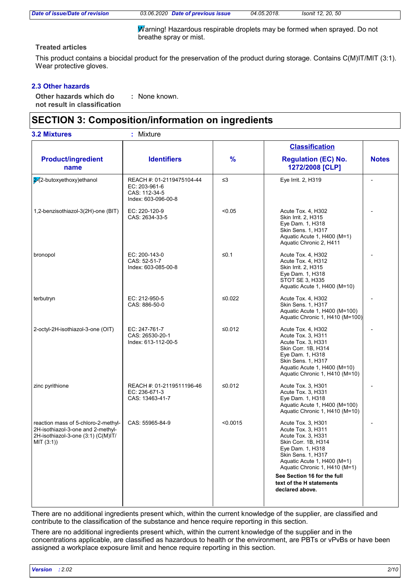*Date of issue/Date of revision 03.06.2020 Date of previous issue 04.05.2018. Isonit 12, 20, 50*

 $\overline{M}$ arning! Hazardous respirable droplets may be formed when sprayed. Do not breathe spray or mist.

# **Treated articles**

This product contains a biocidal product for the preservation of the product during storage. Contains C(M)IT/MIT (3:1). Wear protective gloves.

# **2.3 Other hazards**

**Other hazards which do : not result in classification** : None known.

# **SECTION 3: Composition/information on ingredients**

|                                                                                                                              |                                                                                    |               | <b>Classification</b>                                                                                                                                                                                                          |              |
|------------------------------------------------------------------------------------------------------------------------------|------------------------------------------------------------------------------------|---------------|--------------------------------------------------------------------------------------------------------------------------------------------------------------------------------------------------------------------------------|--------------|
| <b>Product/ingredient</b><br>name                                                                                            | <b>Identifiers</b>                                                                 | $\frac{9}{6}$ | <b>Regulation (EC) No.</b><br>1272/2008 [CLP]                                                                                                                                                                                  | <b>Notes</b> |
| $2(2$ -butoxyethoxy)ethanol                                                                                                  | REACH #: 01-2119475104-44<br>EC: 203-961-6<br>CAS: 112-34-5<br>Index: 603-096-00-8 | $\leq$ 3      | Eye Irrit. 2, H319                                                                                                                                                                                                             |              |
| 1,2-benzisothiazol-3(2H)-one (BIT)                                                                                           | EC: 220-120-9<br>CAS: 2634-33-5                                                    | < 0.05        | Acute Tox. 4, H302<br>Skin Irrit. 2, H315<br>Eye Dam. 1, H318<br>Skin Sens. 1, H317<br>Aquatic Acute 1, H400 (M=1)<br>Aquatic Chronic 2, H411                                                                                  |              |
| bronopol                                                                                                                     | EC: 200-143-0<br>CAS: 52-51-7<br>Index: 603-085-00-8                               | ≤ $0.1$       | Acute Tox. 4, H302<br>Acute Tox. 4, H312<br>Skin Irrit. 2, H315<br>Eye Dam. 1, H318<br>STOT SE 3, H335<br>Aquatic Acute 1, H400 (M=10)                                                                                         |              |
| terbutryn                                                                                                                    | EC: 212-950-5<br>CAS: 886-50-0                                                     | ≤0.022        | Acute Tox. 4, H302<br>Skin Sens. 1, H317<br>Aquatic Acute 1, H400 (M=100)<br>Aquatic Chronic 1, H410 (M=100)                                                                                                                   |              |
| 2-octyl-2H-isothiazol-3-one (OIT)                                                                                            | EC: 247-761-7<br>CAS: 26530-20-1<br>Index: 613-112-00-5                            | ≤0.012        | Acute Tox. 4, H302<br>Acute Tox. 3, H311<br>Acute Tox. 3, H331<br>Skin Corr. 1B, H314<br>Eye Dam. 1, H318<br>Skin Sens. 1, H317<br>Aquatic Acute 1, H400 (M=10)<br>Aquatic Chronic 1, H410 (M=10)                              |              |
| zinc pyrithione                                                                                                              | REACH #: 01-2119511196-46<br>EC: 236-671-3<br>CAS: 13463-41-7                      | ≤0.012        | Acute Tox. 3, H301<br>Acute Tox. 3, H331<br>Eye Dam. 1, H318<br>Aquatic Acute 1, H400 (M=100)<br>Aquatic Chronic 1, H410 (M=10)                                                                                                |              |
| reaction mass of 5-chloro-2-methyl-<br>2H-isothiazol-3-one and 2-methyl-<br>2H-isothiazol-3-one (3:1) (C(M)IT/<br>MIT (3:1)) | CAS: 55965-84-9                                                                    | < 0.0015      | Acute Tox. 3, H301<br>Acute Tox. 3, H311<br>Acute Tox. 3, H331<br>Skin Corr. 1B, H314<br>Eye Dam. 1, H318<br>Skin Sens. 1, H317<br>Aquatic Acute 1, H400 (M=1)<br>Aquatic Chronic 1, H410 (M=1)<br>See Section 16 for the full |              |

There are no additional ingredients present which, within the current knowledge of the supplier, are classified and contribute to the classification of the substance and hence require reporting in this section.

There are no additional ingredients present which, within the current knowledge of the supplier and in the concentrations applicable, are classified as hazardous to health or the environment, are PBTs or vPvBs or have been assigned a workplace exposure limit and hence require reporting in this section.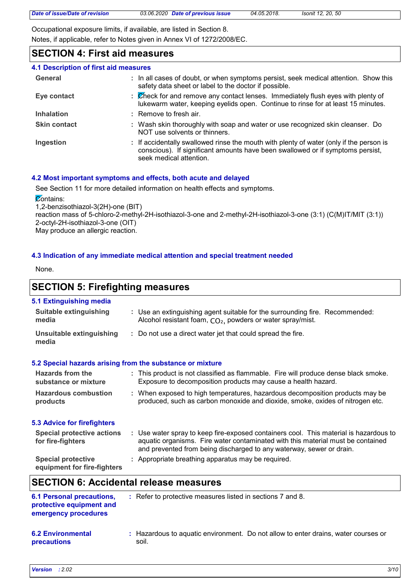Occupational exposure limits, if available, are listed in Section 8. Notes, if applicable, refer to Notes given in Annex VI of 1272/2008/EC.

# **SECTION 4: First aid measures**

| <b>4.1 Description of first aid measures</b> |                                                                                                                                                                                                      |
|----------------------------------------------|------------------------------------------------------------------------------------------------------------------------------------------------------------------------------------------------------|
| General                                      | : In all cases of doubt, or when symptoms persist, seek medical attention. Show this<br>safety data sheet or label to the doctor if possible.                                                        |
| Eye contact                                  | : Check for and remove any contact lenses. Immediately flush eyes with plenty of<br>lukewarm water, keeping eyelids open. Continue to rinse for at least 15 minutes.                                 |
| <b>Inhalation</b>                            | : Remove to fresh air.                                                                                                                                                                               |
| <b>Skin contact</b>                          | : Wash skin thoroughly with soap and water or use recognized skin cleanser. Do<br>NOT use solvents or thinners.                                                                                      |
| Ingestion                                    | : If accidentally swallowed rinse the mouth with plenty of water (only if the person is<br>conscious). If significant amounts have been swallowed or if symptoms persist,<br>seek medical attention. |

# **4.2 Most important symptoms and effects, both acute and delayed**

See Section 11 for more detailed information on health effects and symptoms.

**Zontains:** 

1,2-benzisothiazol-3(2H)-one (BIT) reaction mass of 5-chloro-2-methyl-2H-isothiazol-3-one and 2-methyl-2H-isothiazol-3-one (3:1) (C(M)IT/MIT (3:1))

2-octyl-2H-isothiazol-3-one (OIT)

May produce an allergic reaction.

# **4.3 Indication of any immediate medical attention and special treatment needed**

None.

# **SECTION 5: Firefighting measures**

| 5.1 Extinguishing media                                  |                                                                                                                                                                                                                                                  |
|----------------------------------------------------------|--------------------------------------------------------------------------------------------------------------------------------------------------------------------------------------------------------------------------------------------------|
| <b>Suitable extinguishing</b><br>media                   | : Use an extinguishing agent suitable for the surrounding fire. Recommended:<br>Alcohol resistant foam, CO <sub>2</sub> , powders or water spray/mist.                                                                                           |
| <b>Unsuitable extinguishing</b><br>media                 | : Do not use a direct water jet that could spread the fire.                                                                                                                                                                                      |
|                                                          | 5.2 Special hazards arising from the substance or mixture                                                                                                                                                                                        |
| Hazards from the<br>substance or mixture                 | : This product is not classified as flammable. Fire will produce dense black smoke.<br>Exposure to decomposition products may cause a health hazard.                                                                                             |
| <b>Hazardous combustion</b><br>products                  | : When exposed to high temperatures, hazardous decomposition products may be<br>produced, such as carbon monoxide and dioxide, smoke, oxides of nitrogen etc.                                                                                    |
| 5.3 Advice for firefighters                              |                                                                                                                                                                                                                                                  |
| <b>Special protective actions</b><br>for fire-fighters   | : Use water spray to keep fire-exposed containers cool. This material is hazardous to<br>aquatic organisms. Fire water contaminated with this material must be contained<br>and prevented from being discharged to any waterway, sewer or drain. |
| <b>Special protective</b><br>equipment for fire-fighters | : Appropriate breathing apparatus may be required.                                                                                                                                                                                               |
|                                                          | <b>SECTION 6: Accidental release measures</b>                                                                                                                                                                                                    |

| <b>6.1 Personal precautions,</b><br>protective equipment and<br>emergency procedures | : Refer to protective measures listed in sections 7 and 8.                                  |
|--------------------------------------------------------------------------------------|---------------------------------------------------------------------------------------------|
| <b>6.2 Environmental</b><br>precautions                                              | : Hazardous to aguatic environment. Do not allow to enter drains, water courses or<br>soil. |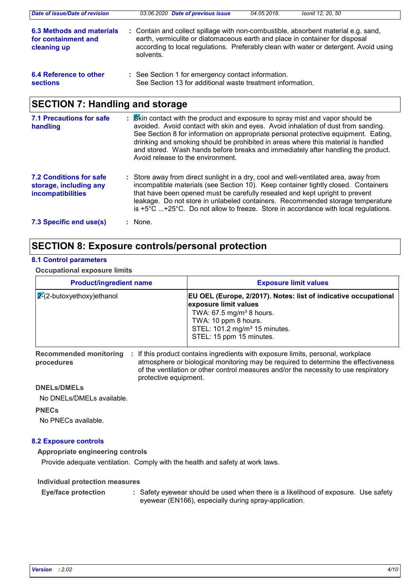| Date of issue/Date of revision                                  | 03.06.2020 Date of previous issue                                                                                                                                                                                                                                        | 04.05.2018. | Isonit 12, 20, 50 |
|-----------------------------------------------------------------|--------------------------------------------------------------------------------------------------------------------------------------------------------------------------------------------------------------------------------------------------------------------------|-------------|-------------------|
| 6.3 Methods and materials<br>for containment and<br>cleaning up | : Contain and collect spillage with non-combustible, absorbent material e.g. sand,<br>earth, vermiculite or diatomaceous earth and place in container for disposal<br>according to local regulations. Preferably clean with water or detergent. Avoid using<br>solvents. |             |                   |
| 6.4 Reference to other<br><b>sections</b>                       | : See Section 1 for emergency contact information.<br>See Section 13 for additional waste treatment information.                                                                                                                                                         |             |                   |

# **SECTION 7: Handling and storage**

| <b>7.1 Precautions for safe</b><br>handling                                          | : Skin contact with the product and exposure to spray mist and vapor should be<br>avoided. Avoid contact with skin and eyes. Avoid inhalation of dust from sanding.<br>See Section 8 for information on appropriate personal protective equipment. Eating,<br>drinking and smoking should be prohibited in areas where this material is handled<br>and stored. Wash hands before breaks and immediately after handling the product.<br>Avoid release to the environment. |
|--------------------------------------------------------------------------------------|--------------------------------------------------------------------------------------------------------------------------------------------------------------------------------------------------------------------------------------------------------------------------------------------------------------------------------------------------------------------------------------------------------------------------------------------------------------------------|
| <b>7.2 Conditions for safe</b><br>storage, including any<br><b>incompatibilities</b> | : Store away from direct sunlight in a dry, cool and well-ventilated area, away from<br>incompatible materials (see Section 10). Keep container tightly closed. Containers<br>that have been opened must be carefully resealed and kept upright to prevent<br>leakage. Do not store in unlabeled containers. Recommended storage temperature<br>is $+5^{\circ}$ C $+25^{\circ}$ C. Do not allow to freeze. Store in accordance with local regulations.                   |
| 7.3 Specific end use(s)                                                              | $:$ None.                                                                                                                                                                                                                                                                                                                                                                                                                                                                |

# **SECTION 8: Exposure controls/personal protection**

# **8.1 Control parameters**

**Occupational exposure limits**

| <b>Product/ingredient name</b>   | <b>Exposure limit values</b>                                                                                                                                                                                                             |
|----------------------------------|------------------------------------------------------------------------------------------------------------------------------------------------------------------------------------------------------------------------------------------|
| $\sqrt{2}$ -butoxyethoxy)ethanol | <b>EU OEL (Europe, 2/2017). Notes: list of indicative occupational</b><br>exposure limit values<br>TWA: 67.5 mg/m <sup>3</sup> 8 hours.<br>TWA: 10 ppm 8 hours.<br>STEL: 101.2 mg/m <sup>3</sup> 15 minutes.<br>STEL: 15 ppm 15 minutes. |
| Recommended monitoring           | If this product contains ingredients with exposure limits personal workplace                                                                                                                                                             |

**Recommended monitoring procedures** ontains ingredients with exposure limits, personal, workp atmosphere or biological monitoring may be required to determine the effectiveness of the ventilation or other control measures and/or the necessity to use respiratory protective equipment. **:**

# **DNELs/DMELs**

No DNELs/DMELs available.

# **PNECs**

No PNECs available.

# **8.2 Exposure controls**

**Appropriate engineering controls**

Provide adequate ventilation. Comply with the health and safety at work laws.

# **Individual protection measures**

Safety eyewear should be used when there is a likelihood of exposure. Use safety eyewear (EN166), especially during spray-application. **Eye/face protection :**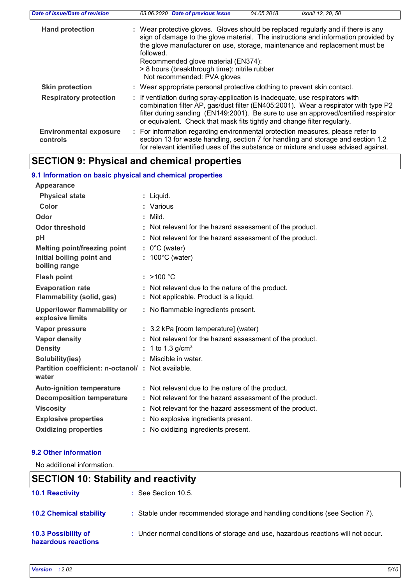| Date of issue/Date of revision            | 03.06.2020 Date of previous issue<br>04.05.2018.<br>Isonit 12, 20, 50                                                                                                                                                                                                                                                                                                                      |
|-------------------------------------------|--------------------------------------------------------------------------------------------------------------------------------------------------------------------------------------------------------------------------------------------------------------------------------------------------------------------------------------------------------------------------------------------|
| <b>Hand protection</b>                    | : Wear protective gloves. Gloves should be replaced regularly and if there is any<br>sign of damage to the glove material. The instructions and information provided by<br>the glove manufacturer on use, storage, maintenance and replacement must be<br>followed.<br>Recommended glove material (EN374):<br>> 8 hours (breakthrough time): nitrile rubber<br>Not recommended: PVA gloves |
| <b>Skin protection</b>                    | : Wear appropriate personal protective clothing to prevent skin contact.                                                                                                                                                                                                                                                                                                                   |
| <b>Respiratory protection</b>             | : If ventilation during spray-application is inadequate, use respirators with<br>combination filter AP, gas/dust filter (EN405:2001). Wear a respirator with type P2<br>filter during sanding (EN149:2001). Be sure to use an approved/certified respirator<br>or equivalent. Check that mask fits tightly and change filter regularly.                                                    |
| <b>Environmental exposure</b><br>controls | : For information regarding environmental protection measures, please refer to<br>section 13 for waste handling, section 7 for handling and storage and section 1.2<br>for relevant identified uses of the substance or mixture and uses advised against.                                                                                                                                  |

# **SECTION 9: Physical and chemical properties**

| 9.1 Information on basic physical and chemical properties  |    |                                                          |
|------------------------------------------------------------|----|----------------------------------------------------------|
| Appearance                                                 |    |                                                          |
| <b>Physical state</b>                                      |    | : Liquid.                                                |
| <b>Color</b>                                               |    | : Various                                                |
| Odor                                                       |    | $:$ Mild.                                                |
| <b>Odor threshold</b>                                      |    | : Not relevant for the hazard assessment of the product. |
| pH                                                         |    | : Not relevant for the hazard assessment of the product. |
| Melting point/freezing point                               |    | $: 0^{\circ}$ C (water)                                  |
| Initial boiling point and<br>boiling range                 |    | $: 100^{\circ}$ C (water)                                |
| <b>Flash point</b>                                         |    | : $>100 °C$                                              |
| <b>Evaporation rate</b>                                    |    | : Not relevant due to the nature of the product.         |
| Flammability (solid, gas)                                  |    | Not applicable. Product is a liquid.                     |
| <b>Upper/lower flammability or</b><br>explosive limits     |    | : No flammable ingredients present.                      |
| <b>Vapor pressure</b>                                      |    | : 3.2 kPa [room temperature] (water)                     |
| <b>Vapor density</b>                                       |    | : Not relevant for the hazard assessment of the product. |
| <b>Density</b>                                             |    | : 1 to 1.3 $g/cm^{3}$                                    |
| Solubility(ies)                                            |    | : Miscible in water.                                     |
| Partition coefficient: n-octanol/: Not available.<br>water |    |                                                          |
| <b>Auto-ignition temperature</b>                           |    | : Not relevant due to the nature of the product.         |
| <b>Decomposition temperature</b>                           |    | : Not relevant for the hazard assessment of the product. |
|                                                            |    | : Not relevant for the hazard assessment of the product. |
| <b>Viscosity</b>                                           |    |                                                          |
| <b>Explosive properties</b>                                |    | : No explosive ingredients present.                      |
| <b>Oxidizing properties</b>                                | ÷. | No oxidizing ingredients present.                        |

# **9.2 Other information**

No additional information.

# **SECTION 10: Stability and reactivity**

| <b>10.1 Reactivity</b>                     | $\therefore$ See Section 10.5.                                                    |
|--------------------------------------------|-----------------------------------------------------------------------------------|
| <b>10.2 Chemical stability</b>             | : Stable under recommended storage and handling conditions (see Section 7).       |
| 10.3 Possibility of<br>hazardous reactions | : Under normal conditions of storage and use, hazardous reactions will not occur. |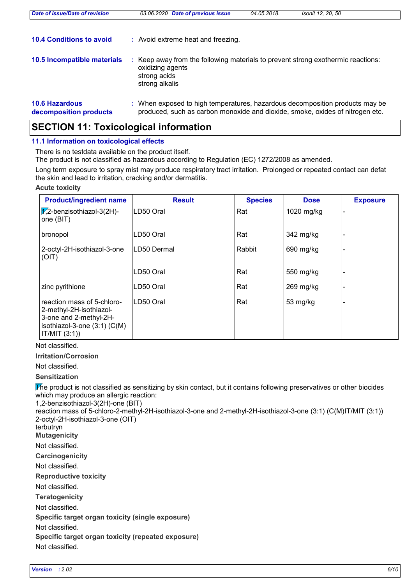| Date of issue/Date of revision                  | 03.06.2020 Date of previous issue                                                                                                                             | 04.05.2018. | Isonit 12, 20, 50 |
|-------------------------------------------------|---------------------------------------------------------------------------------------------------------------------------------------------------------------|-------------|-------------------|
| <b>10.4 Conditions to avoid</b>                 | : Avoid extreme heat and freezing.                                                                                                                            |             |                   |
| <b>10.5 Incompatible materials</b>              | Keep away from the following materials to prevent strong exothermic reactions:<br>oxidizing agents<br>strong acids<br>strong alkalis                          |             |                   |
| <b>10.6 Hazardous</b><br>decomposition products | : When exposed to high temperatures, hazardous decomposition products may be<br>produced, such as carbon monoxide and dioxide, smoke, oxides of nitrogen etc. |             |                   |

# **SECTION 11: Toxicological information**

# **11.1 Information on toxicological effects**

There is no testdata available on the product itself.

The product is not classified as hazardous according to Regulation (EC) 1272/2008 as amended.

Long term exposure to spray mist may produce respiratory tract irritation. Prolonged or repeated contact can defat the skin and lead to irritation, cracking and/or dermatitis.

#### **Acute toxicity**

| <b>Product/ingredient name</b>                                                                                                       | <b>Result</b> | <b>Species</b> | <b>Dose</b> | <b>Exposure</b> |
|--------------------------------------------------------------------------------------------------------------------------------------|---------------|----------------|-------------|-----------------|
| $\chi$ 2-benzisothiazol-3(2H)-<br>one (BIT)                                                                                          | LD50 Oral     | Rat            | 1020 mg/kg  |                 |
| bronopol                                                                                                                             | LD50 Oral     | Rat            | 342 mg/kg   |                 |
| 2-octyl-2H-isothiazol-3-one<br>(OIT)                                                                                                 | LD50 Dermal   | Rabbit         | 690 mg/kg   |                 |
|                                                                                                                                      | LD50 Oral     | Rat            | 550 mg/kg   |                 |
| zinc pyrithione                                                                                                                      | LD50 Oral     | Rat            | $269$ mg/kg |                 |
| reaction mass of 5-chloro-<br>2-methyl-2H-isothiazol-<br>3-one and 2-methyl-2H-<br>isothiazol-3-one $(3:1)$ $(C(M))$<br>IT/MIT (3:1) | LD50 Oral     | Rat            | 53 mg/kg    |                 |

# Not classified.

**Irritation/Corrosion**

Not classified.

# **Sensitization**

The product is not classified as sensitizing by skin contact, but it contains following preservatives or other biocides which may produce an allergic reaction:

1,2-benzisothiazol-3(2H)-one (BIT)

reaction mass of 5-chloro-2-methyl-2H-isothiazol-3-one and 2-methyl-2H-isothiazol-3-one (3:1) (C(M)IT/MIT (3:1)) 2-octyl-2H-isothiazol-3-one (OIT) terbutryn

**Mutagenicity**

Not classified.

**Carcinogenicity**

Not classified.

**Reproductive toxicity**

Not classified.

**Teratogenicity**

Not classified.

**Specific target organ toxicity (single exposure)**

Not classified.

**Specific target organ toxicity (repeated exposure)**

Not classified.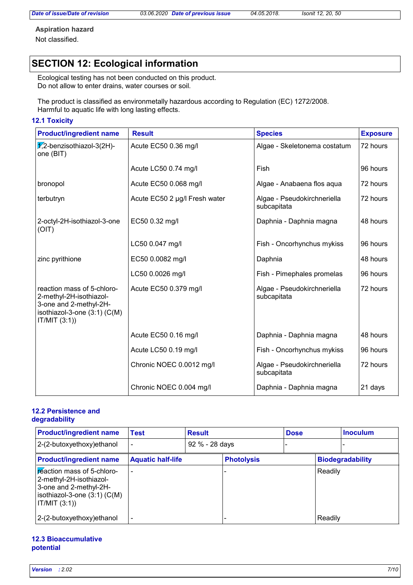*Date of issue/Date of revision 03.06.2020 Date of previous issue 04.05.2018. Isonit 12, 20, 50*

**Aspiration hazard**

Not classified.

# **SECTION 12: Ecological information**

Ecological testing has not been conducted on this product. Do not allow to enter drains, water courses or soil.

The product is classified as environmetally hazardous according to Regulation (EC) 1272/2008. Harmful to aquatic life with long lasting effects.

#### **12.1 Toxicity**

| <b>Product/ingredient name</b>                                                                                                  | <b>Result</b>                 | <b>Species</b>                             | <b>Exposure</b> |
|---------------------------------------------------------------------------------------------------------------------------------|-------------------------------|--------------------------------------------|-----------------|
| $\sqrt{7}$ ,2-benzisothiazol-3(2H)-<br>one (BIT)                                                                                | Acute EC50 0.36 mg/l          | Algae - Skeletonema costatum               | 72 hours        |
|                                                                                                                                 | Acute LC50 0.74 mg/l          | Fish                                       | 96 hours        |
| bronopol                                                                                                                        | Acute EC50 0.068 mg/l         | Algae - Anabaena flos aqua                 | 72 hours        |
| terbutryn                                                                                                                       | Acute EC50 2 µg/l Fresh water | Algae - Pseudokirchneriella<br>subcapitata | 72 hours        |
| 2-octyl-2H-isothiazol-3-one<br>(OIT)                                                                                            | EC50 0.32 mg/l                | Daphnia - Daphnia magna                    | 48 hours        |
|                                                                                                                                 | LC50 0.047 mg/l               | Fish - Oncorhynchus mykiss                 | 96 hours        |
| zinc pyrithione                                                                                                                 | EC50 0.0082 mg/l              | Daphnia                                    | 48 hours        |
|                                                                                                                                 | LC50 0.0026 mg/l              | Fish - Pimephales promelas                 | 96 hours        |
| reaction mass of 5-chloro-<br>2-methyl-2H-isothiazol-<br>3-one and 2-methyl-2H-<br>isothiazol-3-one (3:1) (C(M)<br>IT/MIT (3:1) | Acute EC50 0.379 mg/l         | Algae - Pseudokirchneriella<br>subcapitata | 72 hours        |
|                                                                                                                                 | Acute EC50 0.16 mg/l          | Daphnia - Daphnia magna                    | 48 hours        |
|                                                                                                                                 | Acute LC50 0.19 mg/l          | Fish - Oncorhynchus mykiss                 | 96 hours        |
|                                                                                                                                 | Chronic NOEC 0.0012 mg/l      | Algae - Pseudokirchneriella<br>subcapitata | 72 hours        |
|                                                                                                                                 | Chronic NOEC 0.004 mg/l       | Daphnia - Daphnia magna                    | 21 days         |

# **12.2 Persistence and degradability**

| <b>Product/ingredient name</b>                                                                                                       | <b>Result</b><br><b>Test</b> |  | <b>Dose</b>       |  |         | <b>Inoculum</b>         |  |
|--------------------------------------------------------------------------------------------------------------------------------------|------------------------------|--|-------------------|--|---------|-------------------------|--|
| 2-(2-butoxyethoxy)ethanol                                                                                                            |                              |  | 92 % - 28 days    |  |         |                         |  |
| <b>Product/ingredient name</b>                                                                                                       | <b>Aquatic half-life</b>     |  | <b>Photolysis</b> |  |         | <b>Biodegradability</b> |  |
| reaction mass of 5-chloro-<br>2-methyl-2H-isothiazol-<br>3-one and 2-methyl-2H-<br>isothiazol-3-one $(3:1)$ $(C(M))$<br>IT/MIT (3:1) |                              |  |                   |  | Readily |                         |  |
| 2-(2-butoxyethoxy) ethanol                                                                                                           |                              |  |                   |  | Readily |                         |  |

#### **12.3 Bioaccumulative potential**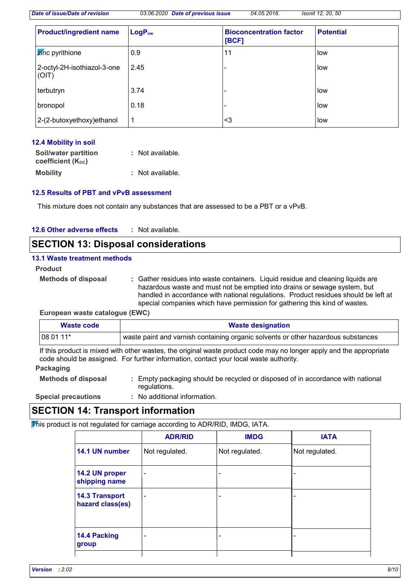*Date of issue/Date of revision 03.06.2020 Date of previous issue 04.05.2018. Isonit 12, 20, 50*

| <b>Product/ingredient name</b>       | LogP <sub>ow</sub> | <b>Bioconcentration factor</b><br>[BCF] | <b>Potential</b> |
|--------------------------------------|--------------------|-----------------------------------------|------------------|
| <b>Z</b> inc pyrithione              | 0.9                | 11                                      | low              |
| 2-octyl-2H-isothiazol-3-one<br>(OIT) | 2.45               |                                         | low              |
| terbutryn                            | 3.74               |                                         | <b>I</b> low     |
| bronopol                             | 0.18               |                                         | low              |
| 2-(2-butoxyethoxy) ethanol           | 1                  | <3                                      | low              |

# **12.4 Mobility in soil**

| Soil/water partition<br>coefficient (K <sub>oc</sub> ) | : Not available. |
|--------------------------------------------------------|------------------|
|                                                        |                  |
| <b>Mobility</b>                                        | : Not available. |

# **12.5 Results of PBT and vPvB assessment**

This mixture does not contain any substances that are assessed to be a PBT or a vPvB.

| 12.6 Other adverse effects | Not available. |
|----------------------------|----------------|
|----------------------------|----------------|

# **SECTION 13: Disposal considerations**

#### **13.1 Waste treatment methods**

**Product**

**Methods of disposal :**

Gather residues into waste containers. Liquid residue and cleaning liquids are hazardous waste and must not be emptied into drains or sewage system, but handled in accordance with national regulations. Product residues should be left at special companies which have permission for gathering this kind of wastes.

#### **European waste catalogue (EWC)**

| Waste code  | <b>Waste designation</b>                                                          |
|-------------|-----------------------------------------------------------------------------------|
| l 08 01 11* | waste paint and varnish containing organic solvents or other hazardous substances |

If this product is mixed with other wastes, the original waste product code may no longer apply and the appropriate code should be assigned. For further information, contact your local waste authority.

# **Packaging**

| <b>Methods of disposal</b> | : Empty packaging should be recycled or disposed of in accordance with national |
|----------------------------|---------------------------------------------------------------------------------|
|                            | regulations.                                                                    |

**Special precautions :**

No additional information.

# **SECTION 14: Transport information**

 $\overline{\text{P}}$  his product is not regulated for carriage according to ADR/RID, IMDG, IATA.

|                                           | <b>ADR/RID</b>               | <b>IMDG</b>              | <b>IATA</b>    |
|-------------------------------------------|------------------------------|--------------------------|----------------|
| 14.1 UN number                            | Not regulated.               | Not regulated.           | Not regulated. |
| 14.2 UN proper<br>shipping name           | $\qquad \qquad \blacksquare$ | $\overline{\phantom{a}}$ | -              |
| <b>14.3 Transport</b><br>hazard class(es) | $\overline{\phantom{0}}$     | $\overline{\phantom{0}}$ |                |
| 14.4 Packing<br>group                     |                              | $\overline{\phantom{0}}$ |                |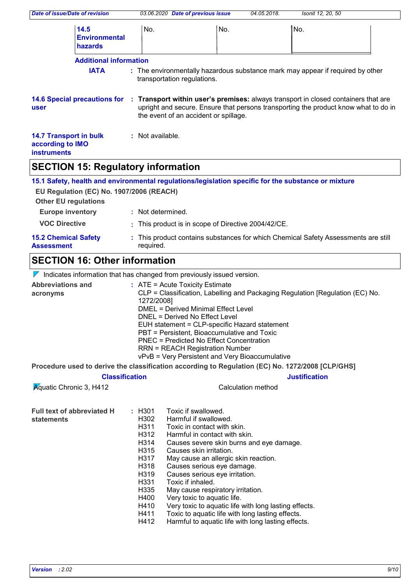| Date of issue/Date of revision                                                                                                                                                 |                                                | 03.06.2020 Date of previous issue                                                                                                                                                                                                                                    |                    | 04.05.2018. | Isonit 12, 20, 50                                                                   |  |
|--------------------------------------------------------------------------------------------------------------------------------------------------------------------------------|------------------------------------------------|----------------------------------------------------------------------------------------------------------------------------------------------------------------------------------------------------------------------------------------------------------------------|--------------------|-------------|-------------------------------------------------------------------------------------|--|
| 14.5<br><b>Environmental</b><br>hazards                                                                                                                                        | No.                                            |                                                                                                                                                                                                                                                                      | No.                |             | No.                                                                                 |  |
| <b>Additional information</b>                                                                                                                                                  |                                                |                                                                                                                                                                                                                                                                      |                    |             |                                                                                     |  |
| <b>IATA</b>                                                                                                                                                                    |                                                | transportation regulations.                                                                                                                                                                                                                                          |                    |             | : The environmentally hazardous substance mark may appear if required by other      |  |
| 14.6 Special precautions for : Transport within user's premises: always transport in closed containers that are<br>user                                                        |                                                | the event of an accident or spillage.                                                                                                                                                                                                                                |                    |             | upright and secure. Ensure that persons transporting the product know what to do in |  |
| <b>14.7 Transport in bulk</b><br>according to IMO<br><b>instruments</b>                                                                                                        | : Not available.                               |                                                                                                                                                                                                                                                                      |                    |             |                                                                                     |  |
| <b>SECTION 15: Regulatory information</b>                                                                                                                                      |                                                |                                                                                                                                                                                                                                                                      |                    |             |                                                                                     |  |
| 15.1 Safety, health and environmental regulations/legislation specific for the substance or mixture<br>EU Regulation (EC) No. 1907/2006 (REACH)<br><b>Other EU regulations</b> |                                                |                                                                                                                                                                                                                                                                      |                    |             |                                                                                     |  |
| <b>Europe inventory</b>                                                                                                                                                        | : Not determined.                              |                                                                                                                                                                                                                                                                      |                    |             |                                                                                     |  |
| <b>VOC Directive</b>                                                                                                                                                           |                                                | : This product is in scope of Directive 2004/42/CE.                                                                                                                                                                                                                  |                    |             |                                                                                     |  |
| <b>15.2 Chemical Safety</b><br><b>Assessment</b>                                                                                                                               | required.                                      |                                                                                                                                                                                                                                                                      |                    |             | : This product contains substances for which Chemical Safety Assessments are still  |  |
| <b>SECTION 16: Other information</b>                                                                                                                                           |                                                |                                                                                                                                                                                                                                                                      |                    |             |                                                                                     |  |
| $\nabla$ Indicates information that has changed from previously issued version.                                                                                                |                                                |                                                                                                                                                                                                                                                                      |                    |             |                                                                                     |  |
| <b>Abbreviations and</b><br>acronyms                                                                                                                                           | 1272/2008]                                     | $:$ ATE = Acute Toxicity Estimate<br><b>DMEL = Derived Minimal Effect Level</b><br>DNEL = Derived No Effect Level<br>EUH statement = CLP-specific Hazard statement<br>PBT = Persistent, Bioaccumulative and Toxic<br><b>PNEC = Predicted No Effect Concentration</b> |                    |             | CLP = Classification, Labelling and Packaging Regulation [Regulation (EC) No.       |  |
|                                                                                                                                                                                |                                                | <b>RRN = REACH Registration Number</b><br>vPvB = Very Persistent and Very Bioaccumulative                                                                                                                                                                            |                    |             |                                                                                     |  |
| Procedure used to derive the classification according to Regulation (EC) No. 1272/2008 [CLP/GHS]                                                                               |                                                |                                                                                                                                                                                                                                                                      |                    |             |                                                                                     |  |
| <b>Classification</b>                                                                                                                                                          |                                                |                                                                                                                                                                                                                                                                      |                    |             | <b>Justification</b>                                                                |  |
| <b>Aguatic Chronic 3, H412</b>                                                                                                                                                 |                                                |                                                                                                                                                                                                                                                                      | Calculation method |             |                                                                                     |  |
| <b>Full text of abbreviated H</b><br>statements                                                                                                                                | : H301<br>H302<br>H311<br>H312<br>H314<br>H315 | Toxic if swallowed.<br>Harmful if swallowed.<br>Toxic in contact with skin.<br>Harmful in contact with skin.<br>Causes severe skin burns and eye damage.<br>Causes skin irritation.                                                                                  |                    |             |                                                                                     |  |

- H317 May cause an allergic skin reaction.
- H318 Causes serious eye damage.
- H319 Causes serious eye irritation.<br>H331 Toxic if inhaled.
- H331 Toxic if inhaled.<br>H335 May cause respi
- H335 May cause respiratory irritation.<br>H400 Very toxic to aquatic life.
- 
- H400 Very toxic to aquatic life.<br>H410 Very toxic to aquatic life H410 Very toxic to aquatic life with long lasting effects.<br>H411 Toxic to aquatic life with long lasting effects.
- H411 Toxic to aquatic life with long lasting effects.<br>H412 Harmful to aquatic life with long lasting effect
- Harmful to aquatic life with long lasting effects.